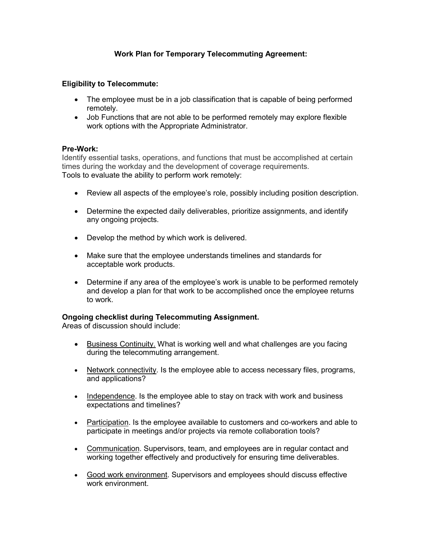# **Work Plan for Temporary Telecommuting Agreement:**

## **Eligibility to Telecommute:**

- The employee must be in a job classification that is capable of being performed remotely.
- Job Functions that are not able to be performed remotely may explore flexible work options with the Appropriate Administrator.

### **Pre-Work:**

Identify essential tasks, operations, and functions that must be accomplished at certain times during the workday and the development of coverage requirements. Tools to evaluate the ability to perform work remotely:

- Review all aspects of the employee's role, possibly including position description.
- Determine the expected daily deliverables, prioritize assignments, and identify any ongoing projects.
- Develop the method by which work is delivered.
- Make sure that the employee understands timelines and standards for acceptable work products.
- Determine if any area of the employee's work is unable to be performed remotely and develop a plan for that work to be accomplished once the employee returns to work.

## **Ongoing checklist during Telecommuting Assignment.**

Areas of discussion should include:

- Business Continuity. What is working well and what challenges are you facing during the telecommuting arrangement.
- Network connectivity. Is the employee able to access necessary files, programs, and applications?
- Independence. Is the employee able to stay on track with work and business expectations and timelines?
- Participation. Is the employee available to customers and co-workers and able to participate in meetings and/or projects via remote collaboration tools?
- Communication. Supervisors, team, and employees are in regular contact and working together effectively and productively for ensuring time deliverables.
- Good work environment. Supervisors and employees should discuss effective work environment